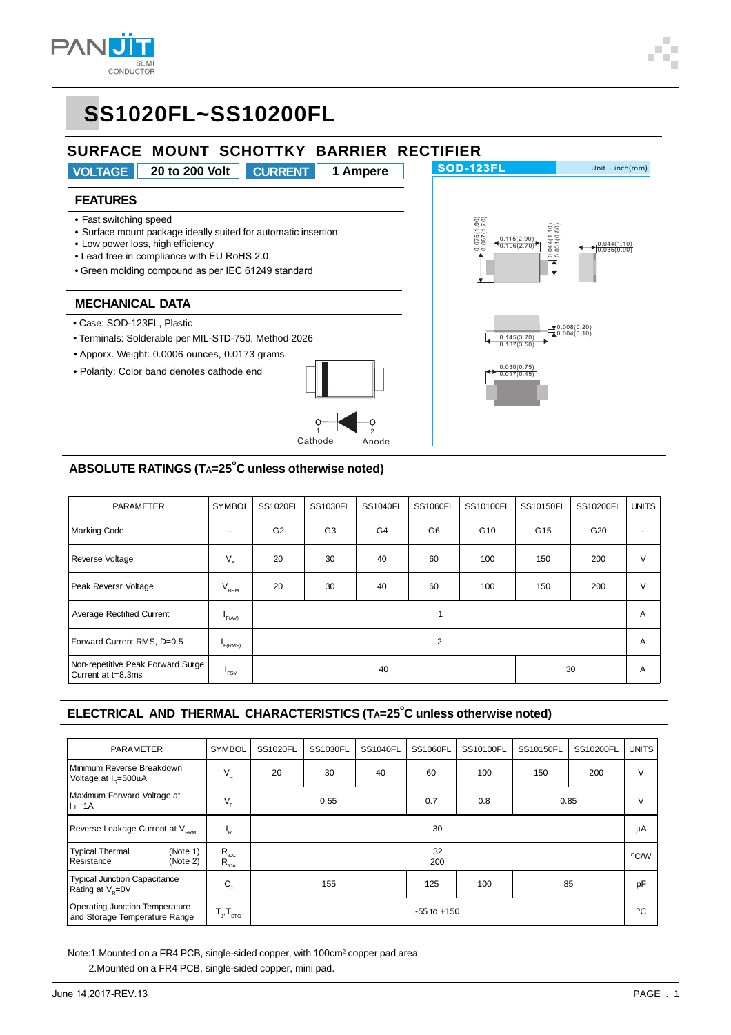

0.044(1.10) 0.035(0.90)

0.008(0.20) 0.004(0.10)

0.145(3.70) 0.137(3.50)

0.030(0.75) 0.017(0.45)



- Case: SOD-123FL, Plastic
- Terminals: Solderable per MIL-STD-750, Method 2026
- Apporx. Weight: 0.0006 ounces, 0.0173 grams
- Polarity: Color band denotes cathode end



### ABSOLUTE RATINGS (TA=25<sup>°</sup>C unless otherwise noted)

| <b>PARAMETER</b>                                        | <b>SYMBOL</b>            | SS1020FL       | SS1030FL       | <b>SS1040FL</b> | <b>SS1060FL</b> | SS10100FL       | SS10150FL       | SS10200FL       | <b>UNITS</b> |
|---------------------------------------------------------|--------------------------|----------------|----------------|-----------------|-----------------|-----------------|-----------------|-----------------|--------------|
| <b>Marking Code</b>                                     | $\overline{\phantom{a}}$ | G <sub>2</sub> | G <sub>3</sub> | G4              | G6              | G <sub>10</sub> | G <sub>15</sub> | G <sub>20</sub> |              |
| Reverse Voltage                                         | $V_{R}$                  | 20             | 30             | 40              | 60              | 100             | 150             | 200             | $\vee$       |
| Peak Reversr Voltage                                    | $V_{RRM}$                | 20             | 30             | 40              | 60              | 100             | 150             | 200             | $\vee$       |
| <b>Average Rectified Current</b>                        | F(AV)                    |                |                |                 |                 |                 |                 |                 | A            |
| Forward Current RMS, D=0.5                              | F(RMS)                   | 2              |                |                 |                 |                 |                 | A               |              |
| Non-repetitive Peak Forward Surge<br>Current at t=8.3ms | <b>FSM</b>               | 30<br>40       |                |                 |                 |                 |                 | A               |              |

#### ELECTRICAL AND THERMAL CHARACTERISTICS (TA=25<sup>°</sup>C unless otherwise noted)

| <b>PARAMETER</b>                                                       | <b>SYMBOL</b>                                                          | <b>SS1020FL</b> | SS1030FL  | <b>SS1040FL</b> | SS1060FL | SS10100FL | SS10150FL | SS10200FL    | <b>UNITS</b>  |
|------------------------------------------------------------------------|------------------------------------------------------------------------|-----------------|-----------|-----------------|----------|-----------|-----------|--------------|---------------|
| Minimum Reverse Breakdown<br>Voltage at $I_p = 500 \mu A$              | $\mathsf{V}_{\mathsf{R}}$                                              | 20              | 30        | 40              | 60       | 100       | 150       | 200          | $\vee$        |
| Maximum Forward Voltage at<br>$I = 1A$                                 | $V_F$                                                                  | 0.55            |           |                 | 0.7      | 0.8       | 0.85      |              | $\vee$        |
| Reverse Leakage Current at V <sub>ppM</sub>                            | ı,                                                                     | 30              |           |                 |          |           |           | μA           |               |
| <b>Typical Thermal</b><br>(Note 1)<br>Resistance<br>(Note 2)           | $\mathsf{R}_{\scriptscriptstyle{\theta\text{JC}}}$<br>$R_{\rm _{6JA}}$ |                 | 32<br>200 |                 |          |           |           |              | $\rm ^{O}C/W$ |
| <b>Typical Junction Capacitance</b><br>Rating at $V_e = 0V$            | $C_{j}$                                                                | 155             |           |                 | 125      | 100       |           | 85           | pF            |
| <b>Operating Junction Temperature</b><br>and Storage Temperature Range | $T_{J}$ , $T_{STG}$                                                    | $-55$ to $+150$ |           |                 |          |           |           | $^{\circ}$ C |               |

Note:1.Mounted on a FR4 PCB, single-sided copper, with 100cm<sup>2</sup> copper pad area 2.Mounted on a FR4 PCB, single-sided copper, mini pad.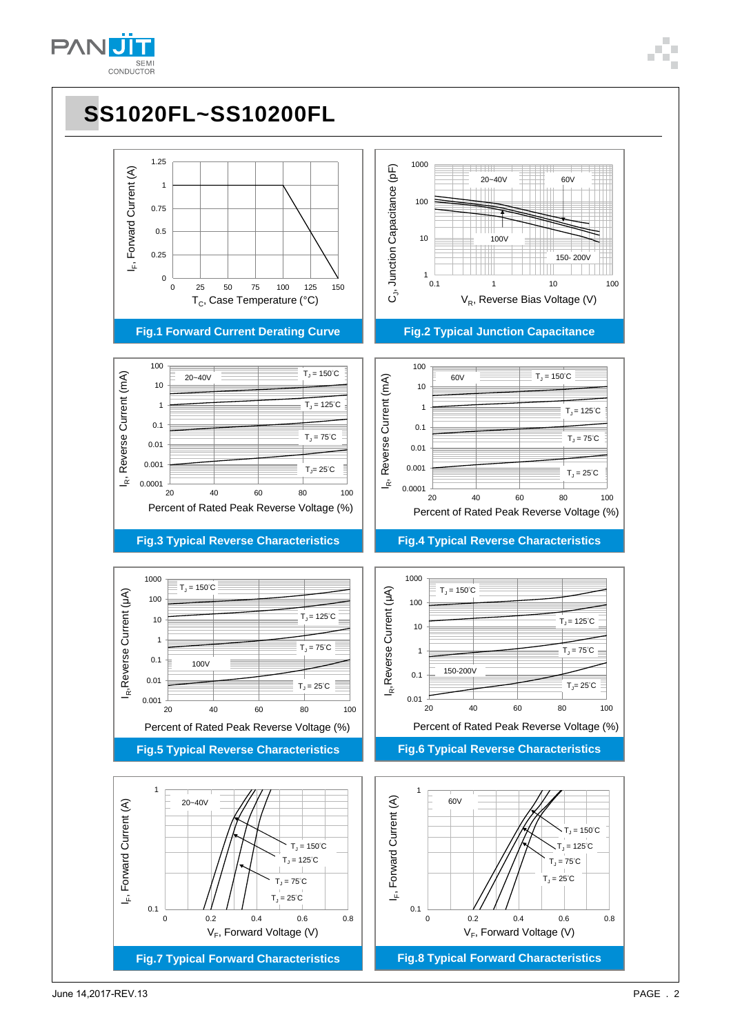

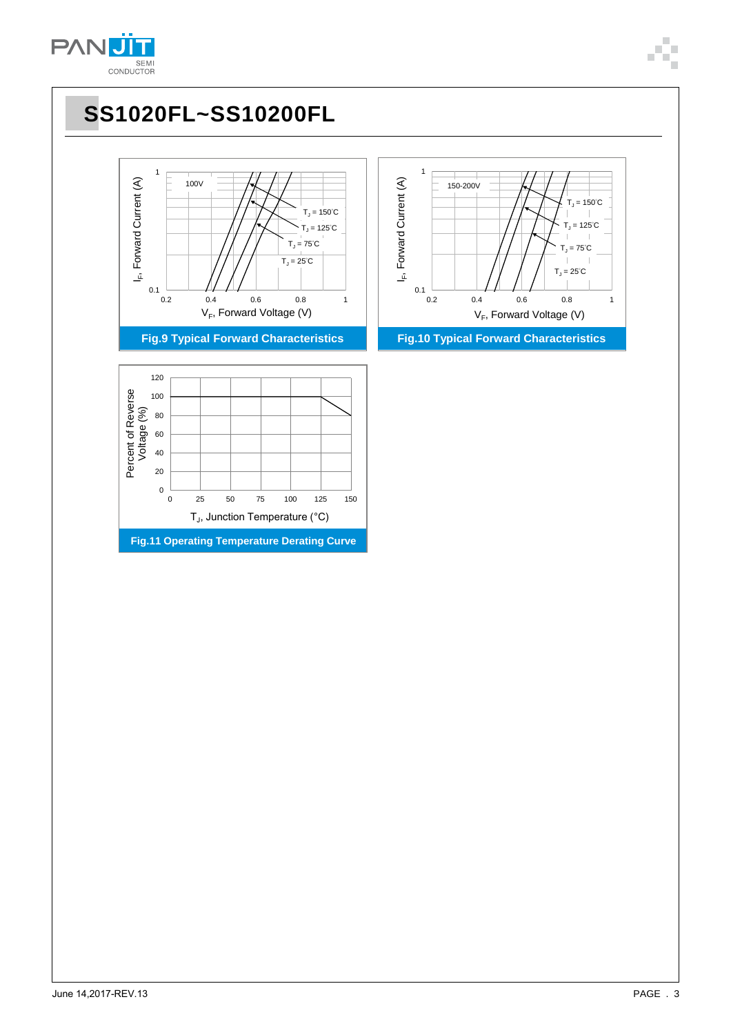



**Fig.9 Typical Forward Characteristics Fig.10 Typical Forward Characteristics**





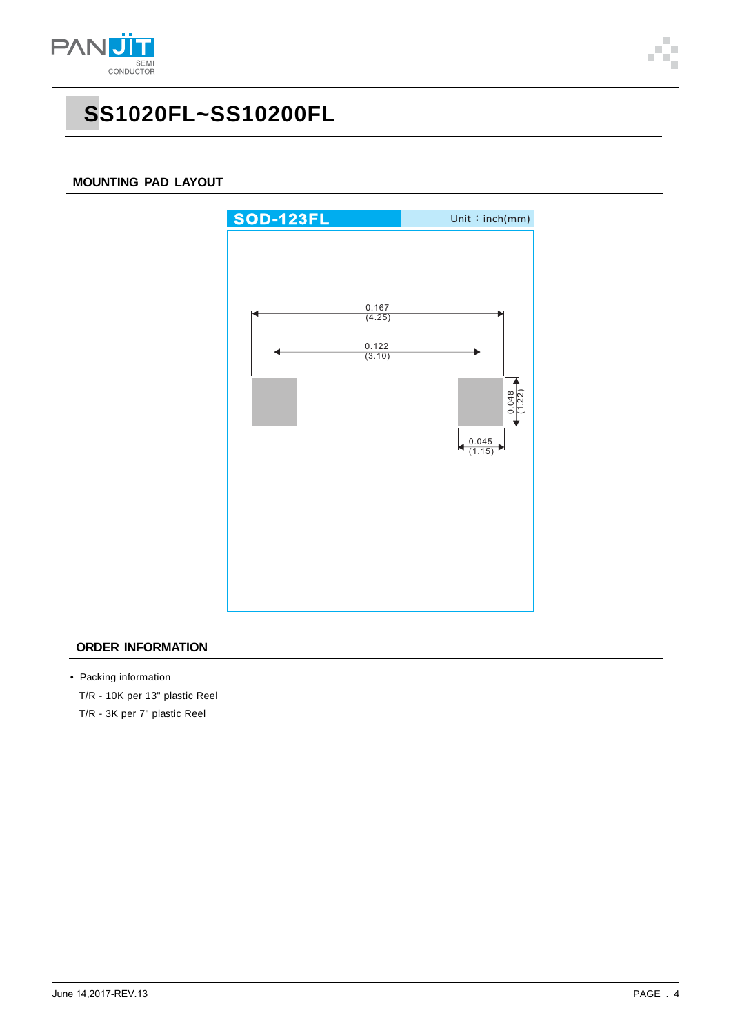

## **SS1020FL~SS10200FL**

#### **MOUNTING PAD LAYOUT**



#### **ORDER INFORMATION**

• Packing information

T/R - 10K per 13" plastic Reel

T/R - 3K per 7" plastic Reel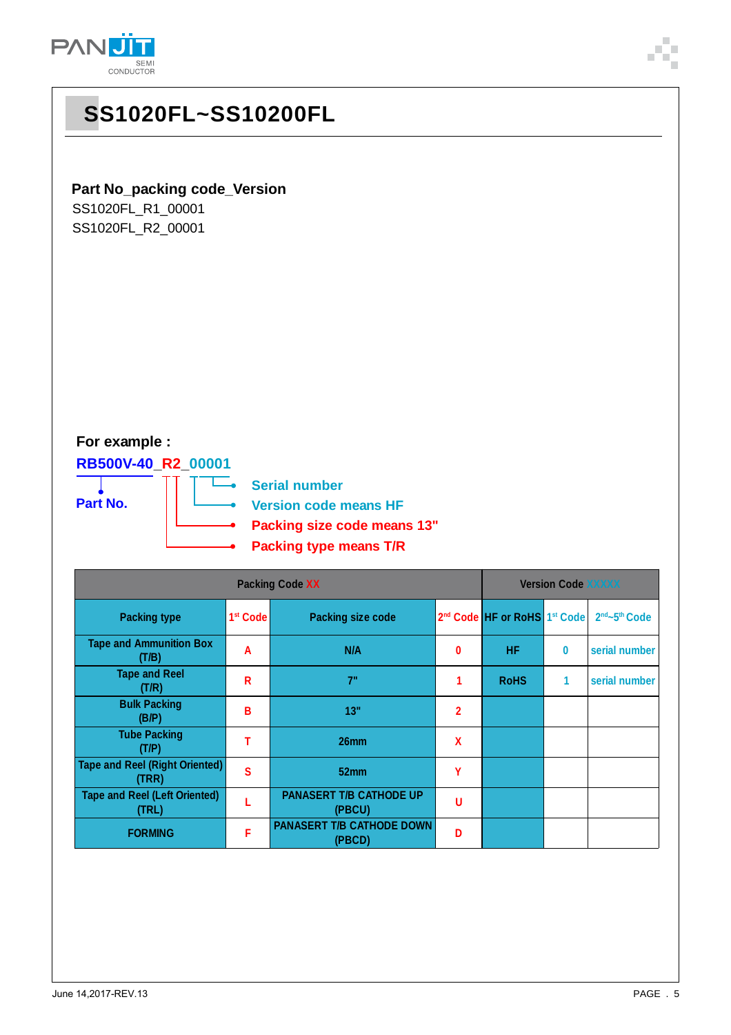

## **SS1020FL~SS10200FL**

### **Part No\_packing code\_Version**

SS1020FL\_R1\_00001 SS1020FL\_R2\_00001

### **For example :**

**RB500V-40\_R2\_00001 Part No.**

т

**Serial number**  $\overline{\phantom{a}}$ **Version code means HF Packing size code means 13"**

**Packing type means T/R**

|                                                | <b>Version Code XXXXX</b> |                                            |                |                                                      |          |                                       |
|------------------------------------------------|---------------------------|--------------------------------------------|----------------|------------------------------------------------------|----------|---------------------------------------|
| <b>Packing type</b>                            | 1 <sup>st</sup> Code      | <b>Packing size code</b>                   |                | 2 <sup>nd</sup> Code HF or RoHS 1 <sup>st</sup> Code |          | 2 <sup>nd</sup> ~5 <sup>th</sup> Code |
| <b>Tape and Ammunition Box</b><br>(T/B)        | A                         | N/A                                        | 0              | <b>HF</b>                                            | $\bf{0}$ | serial number                         |
| <b>Tape and Reel</b><br>(T/R)                  | R                         | 7"                                         |                | <b>RoHS</b>                                          | 1        | serial number                         |
| <b>Bulk Packing</b><br>(B/P)                   | в                         | 13"                                        | $\overline{2}$ |                                                      |          |                                       |
| <b>Tube Packing</b><br>(T/P)                   |                           | 26 <sub>mm</sub>                           | $\mathbf x$    |                                                      |          |                                       |
| <b>Tape and Reel (Right Oriented)</b><br>(TRR) | S                         | 52mm                                       | Υ              |                                                      |          |                                       |
| <b>Tape and Reel (Left Oriented)</b><br>(TRL)  |                           | <b>PANASERT T/B CATHODE UP</b><br>(PBCU)   | U              |                                                      |          |                                       |
| <b>FORMING</b>                                 | F                         | <b>PANASERT T/B CATHODE DOWN</b><br>(PBCD) | Ð              |                                                      |          |                                       |